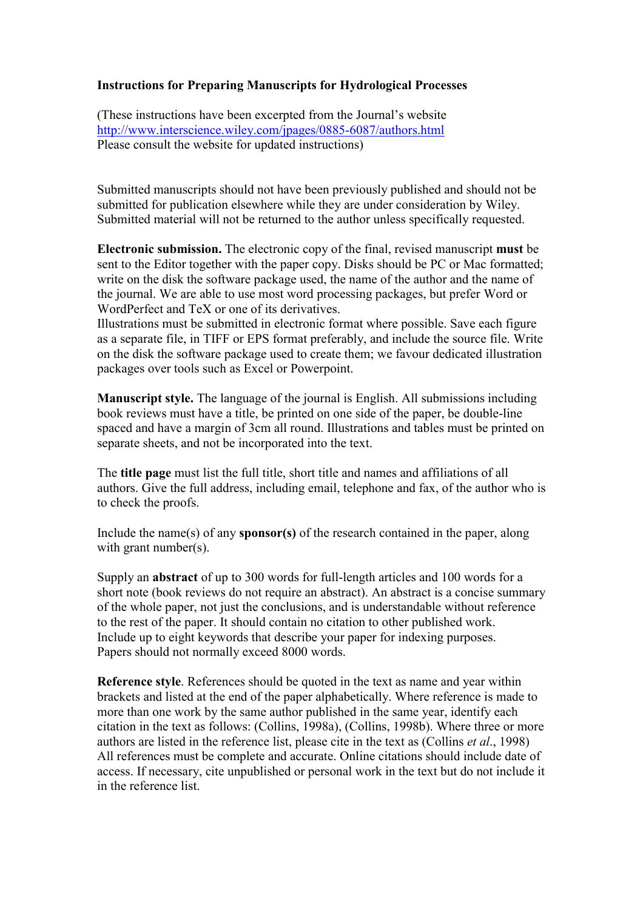## **Instructions for Preparing Manuscripts for Hydrological Processes**

(These instructions have been excerpted from the Journal's website <http://www.interscience.wiley.com/jpages/0885-6087/authors.html> Please consult the website for updated instructions)

Submitted manuscripts should not have been previously published and should not be submitted for publication elsewhere while they are under consideration by Wiley. Submitted material will not be returned to the author unless specifically requested.

**Electronic submission.** The electronic copy of the final, revised manuscript **must** be sent to the Editor together with the paper copy. Disks should be PC or Mac formatted; write on the disk the software package used, the name of the author and the name of the journal. We are able to use most word processing packages, but prefer Word or WordPerfect and TeX or one of its derivatives.

Illustrations must be submitted in electronic format where possible. Save each figure as a separate file, in TIFF or EPS format preferably, and include the source file. Write on the disk the software package used to create them; we favour dedicated illustration packages over tools such as Excel or Powerpoint.

**Manuscript style.** The language of the journal is English. All submissions including book reviews must have a title, be printed on one side of the paper, be double-line spaced and have a margin of 3cm all round. Illustrations and tables must be printed on separate sheets, and not be incorporated into the text.

The **title page** must list the full title, short title and names and affiliations of all authors. Give the full address, including email, telephone and fax, of the author who is to check the proofs.

Include the name(s) of any **sponsor(s)** of the research contained in the paper, along with grant number(s).

Supply an **abstract** of up to 300 words for full-length articles and 100 words for a short note (book reviews do not require an abstract). An abstract is a concise summary of the whole paper, not just the conclusions, and is understandable without reference to the rest of the paper. It should contain no citation to other published work. Include up to eight keywords that describe your paper for indexing purposes. Papers should not normally exceed 8000 words.

**Reference style**. References should be quoted in the text as name and year within brackets and listed at the end of the paper alphabetically. Where reference is made to more than one work by the same author published in the same year, identify each citation in the text as follows: (Collins, 1998a), (Collins, 1998b). Where three or more authors are listed in the reference list, please cite in the text as (Collins *et al*., 1998) All references must be complete and accurate. Online citations should include date of access. If necessary, cite unpublished or personal work in the text but do not include it in the reference list.